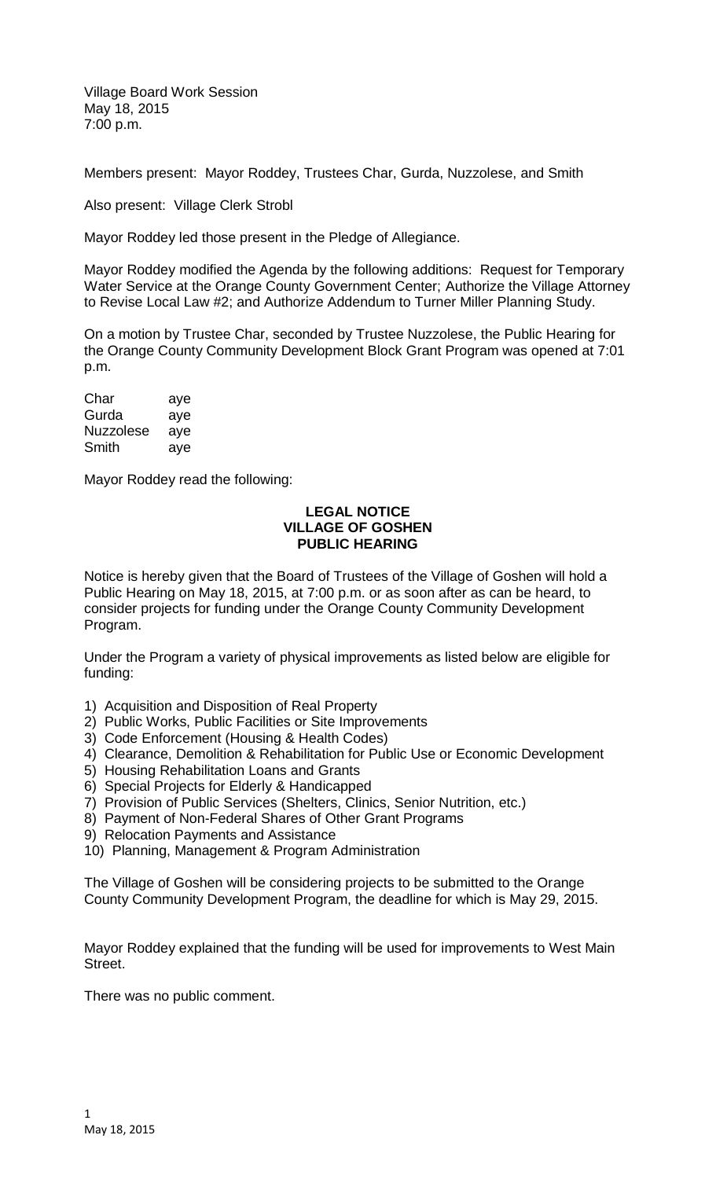Village Board Work Session May 18, 2015 7:00 p.m.

Members present: Mayor Roddey, Trustees Char, Gurda, Nuzzolese, and Smith

Also present: Village Clerk Strobl

Mayor Roddey led those present in the Pledge of Allegiance.

Mayor Roddey modified the Agenda by the following additions: Request for Temporary Water Service at the Orange County Government Center; Authorize the Village Attorney to Revise Local Law #2; and Authorize Addendum to Turner Miller Planning Study.

On a motion by Trustee Char, seconded by Trustee Nuzzolese, the Public Hearing for the Orange County Community Development Block Grant Program was opened at 7:01 p.m.

| Char             | aye |
|------------------|-----|
| Gurda            | aye |
| <b>Nuzzolese</b> | ave |
| Smith            | ave |

Mayor Roddey read the following:

## **LEGAL NOTICE VILLAGE OF GOSHEN PUBLIC HEARING**

Notice is hereby given that the Board of Trustees of the Village of Goshen will hold a Public Hearing on May 18, 2015, at 7:00 p.m. or as soon after as can be heard, to consider projects for funding under the Orange County Community Development Program.

Under the Program a variety of physical improvements as listed below are eligible for funding:

- 1) Acquisition and Disposition of Real Property
- 2) Public Works, Public Facilities or Site Improvements
- 3) Code Enforcement (Housing & Health Codes)
- 4) Clearance, Demolition & Rehabilitation for Public Use or Economic Development
- 5) Housing Rehabilitation Loans and Grants
- 6) Special Projects for Elderly & Handicapped
- 7) Provision of Public Services (Shelters, Clinics, Senior Nutrition, etc.)
- 8) Payment of Non-Federal Shares of Other Grant Programs
- 9) Relocation Payments and Assistance
- 10) Planning, Management & Program Administration

The Village of Goshen will be considering projects to be submitted to the Orange County Community Development Program, the deadline for which is May 29, 2015.

Mayor Roddey explained that the funding will be used for improvements to West Main Street.

There was no public comment.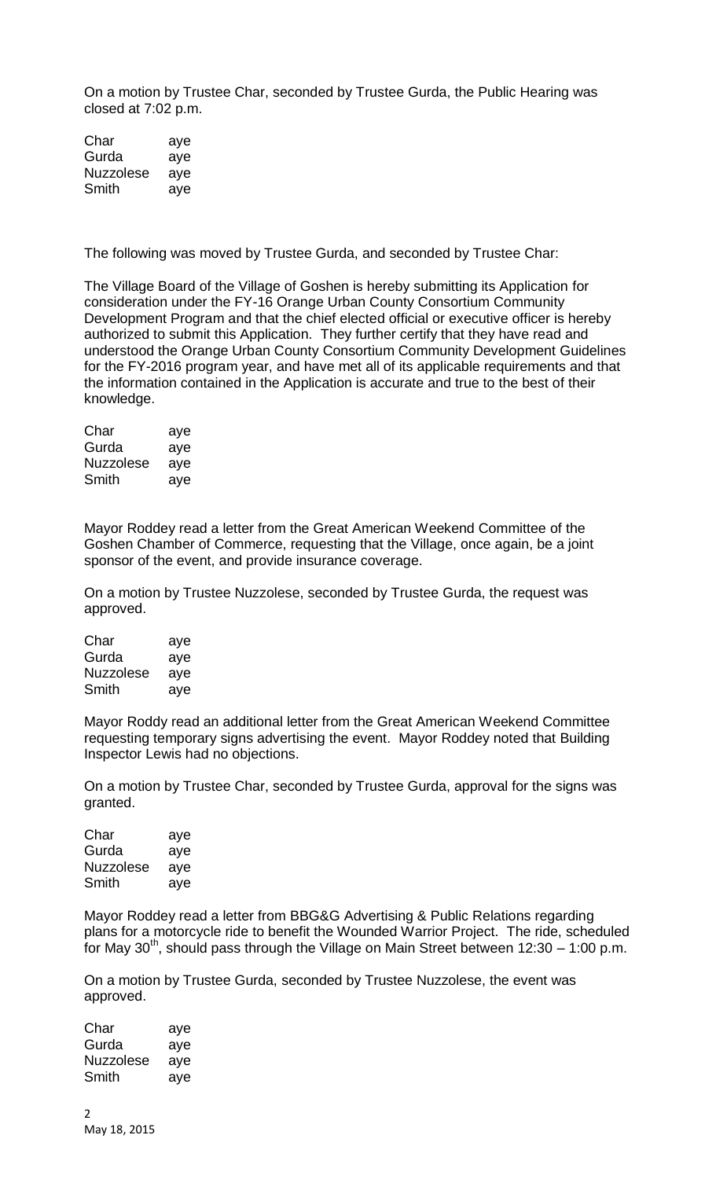On a motion by Trustee Char, seconded by Trustee Gurda, the Public Hearing was closed at 7:02 p.m.

| Char             | aye |
|------------------|-----|
| Gurda            | aye |
| <b>Nuzzolese</b> | aye |
| Smith            | aye |

The following was moved by Trustee Gurda, and seconded by Trustee Char:

The Village Board of the Village of Goshen is hereby submitting its Application for consideration under the FY-16 Orange Urban County Consortium Community Development Program and that the chief elected official or executive officer is hereby authorized to submit this Application. They further certify that they have read and understood the Orange Urban County Consortium Community Development Guidelines for the FY-2016 program year, and have met all of its applicable requirements and that the information contained in the Application is accurate and true to the best of their knowledge.

| Char             | aye |
|------------------|-----|
| Gurda            | aye |
| <b>Nuzzolese</b> | aye |
| Smith            | aye |

Mayor Roddey read a letter from the Great American Weekend Committee of the Goshen Chamber of Commerce, requesting that the Village, once again, be a joint sponsor of the event, and provide insurance coverage.

On a motion by Trustee Nuzzolese, seconded by Trustee Gurda, the request was approved.

| Char             | aye |
|------------------|-----|
| Gurda            | aye |
| <b>Nuzzolese</b> | aye |
| Smith            | aye |

Mayor Roddy read an additional letter from the Great American Weekend Committee requesting temporary signs advertising the event. Mayor Roddey noted that Building Inspector Lewis had no objections.

On a motion by Trustee Char, seconded by Trustee Gurda, approval for the signs was granted.

| Char             | aye |
|------------------|-----|
| Gurda            | aye |
| <b>Nuzzolese</b> | aye |
| Smith            | ave |

Mayor Roddey read a letter from BBG&G Advertising & Public Relations regarding plans for a motorcycle ride to benefit the Wounded Warrior Project. The ride, scheduled for May 30<sup>th</sup>, should pass through the Village on Main Street between 12:30 – 1:00 p.m.

On a motion by Trustee Gurda, seconded by Trustee Nuzzolese, the event was approved.

| Char      | aye |
|-----------|-----|
| Gurda     | aye |
| Nuzzolese | aye |
| Smith     | aye |